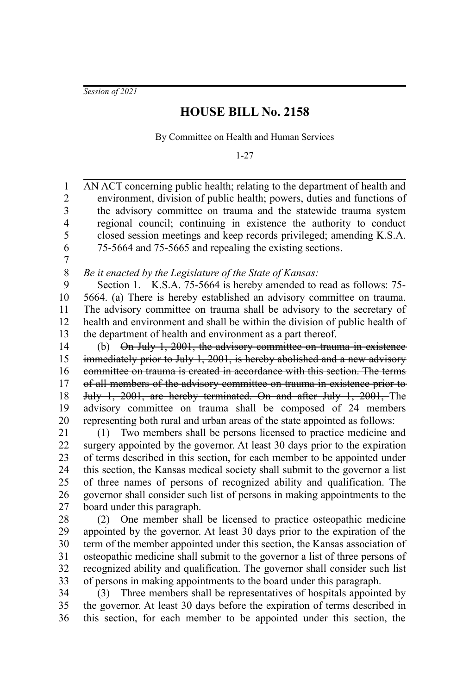*Session of 2021*

## **HOUSE BILL No. 2158**

By Committee on Health and Human Services

1-27

AN ACT concerning public health; relating to the department of health and environment, division of public health; powers, duties and functions of the advisory committee on trauma and the statewide trauma system regional council; continuing in existence the authority to conduct closed session meetings and keep records privileged; amending K.S.A. 75-5664 and 75-5665 and repealing the existing sections. 1 2 3 4 5 6

7

## *Be it enacted by the Legislature of the State of Kansas:* 8

Section 1. K.S.A. 75-5664 is hereby amended to read as follows: 75- 5664. (a) There is hereby established an advisory committee on trauma. The advisory committee on trauma shall be advisory to the secretary of health and environment and shall be within the division of public health of the department of health and environment as a part thereof. 9 10 11 12 13

(b) On July 1, 2001, the advisory committee on trauma in existence immediately prior to July 1, 2001, is hereby abolished and a new advisory committee on trauma is created in accordance with this section. The terms of all members of the advisory committee on trauma in existence prior to July 1, 2001, are hereby terminated. On and after July 1, 2001, The advisory committee on trauma shall be composed of 24 members representing both rural and urban areas of the state appointed as follows: 14 15 16 17 18 19 20

(1) Two members shall be persons licensed to practice medicine and surgery appointed by the governor. At least 30 days prior to the expiration of terms described in this section, for each member to be appointed under this section, the Kansas medical society shall submit to the governor a list of three names of persons of recognized ability and qualification. The governor shall consider such list of persons in making appointments to the board under this paragraph. 21 22 23 24 25 26 27

(2) One member shall be licensed to practice osteopathic medicine appointed by the governor. At least 30 days prior to the expiration of the term of the member appointed under this section, the Kansas association of osteopathic medicine shall submit to the governor a list of three persons of recognized ability and qualification. The governor shall consider such list of persons in making appointments to the board under this paragraph. 28 29 30 31 32 33

(3) Three members shall be representatives of hospitals appointed by the governor. At least 30 days before the expiration of terms described in this section, for each member to be appointed under this section, the 34 35 36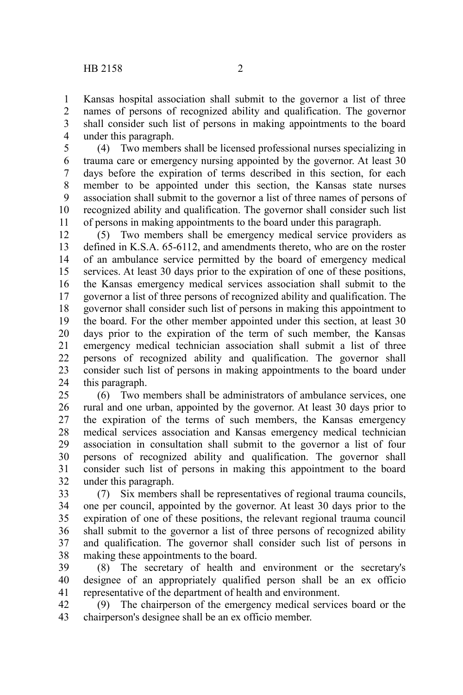Kansas hospital association shall submit to the governor a list of three names of persons of recognized ability and qualification. The governor shall consider such list of persons in making appointments to the board under this paragraph. 1 2 3 4

(4) Two members shall be licensed professional nurses specializing in trauma care or emergency nursing appointed by the governor. At least 30 days before the expiration of terms described in this section, for each member to be appointed under this section, the Kansas state nurses association shall submit to the governor a list of three names of persons of recognized ability and qualification. The governor shall consider such list of persons in making appointments to the board under this paragraph. 5 6 7 8 9 10 11

(5) Two members shall be emergency medical service providers as defined in K.S.A. 65-6112, and amendments thereto, who are on the roster of an ambulance service permitted by the board of emergency medical services. At least 30 days prior to the expiration of one of these positions, the Kansas emergency medical services association shall submit to the governor a list of three persons of recognized ability and qualification. The governor shall consider such list of persons in making this appointment to the board. For the other member appointed under this section, at least 30 days prior to the expiration of the term of such member, the Kansas emergency medical technician association shall submit a list of three persons of recognized ability and qualification. The governor shall consider such list of persons in making appointments to the board under this paragraph. 12 13 14 15 16 17 18 19 20 21 22 23 24

(6) Two members shall be administrators of ambulance services, one rural and one urban, appointed by the governor. At least 30 days prior to the expiration of the terms of such members, the Kansas emergency medical services association and Kansas emergency medical technician association in consultation shall submit to the governor a list of four persons of recognized ability and qualification. The governor shall consider such list of persons in making this appointment to the board under this paragraph. 25 26 27 28 29 30 31 32

(7) Six members shall be representatives of regional trauma councils, one per council, appointed by the governor. At least 30 days prior to the expiration of one of these positions, the relevant regional trauma council shall submit to the governor a list of three persons of recognized ability and qualification. The governor shall consider such list of persons in making these appointments to the board. 33 34 35 36 37 38

(8) The secretary of health and environment or the secretary's designee of an appropriately qualified person shall be an ex officio representative of the department of health and environment. 39 40 41

(9) The chairperson of the emergency medical services board or the chairperson's designee shall be an ex officio member. 42 43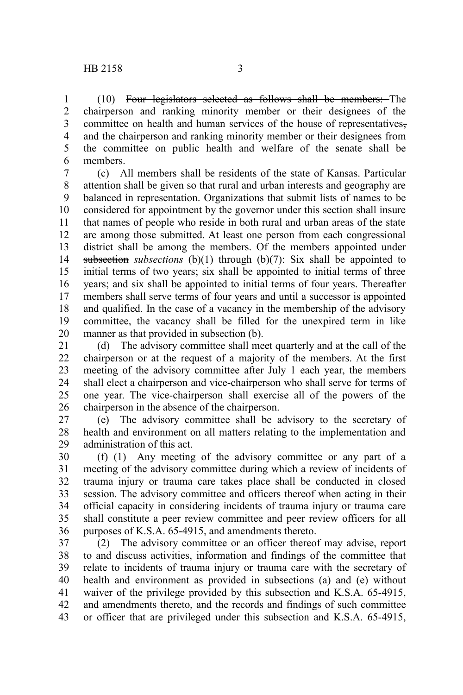(10) Four legislators selected as follows shall be members: The chairperson and ranking minority member or their designees of the committee on health and human services of the house of representatives, and the chairperson and ranking minority member or their designees from the committee on public health and welfare of the senate shall be members. 1 2 3 4 5 6

(c) All members shall be residents of the state of Kansas. Particular attention shall be given so that rural and urban interests and geography are balanced in representation. Organizations that submit lists of names to be considered for appointment by the governor under this section shall insure that names of people who reside in both rural and urban areas of the state are among those submitted. At least one person from each congressional district shall be among the members. Of the members appointed under subsection *subsections* (b)(1) through (b)(7): Six shall be appointed to initial terms of two years; six shall be appointed to initial terms of three years; and six shall be appointed to initial terms of four years. Thereafter members shall serve terms of four years and until a successor is appointed and qualified. In the case of a vacancy in the membership of the advisory committee, the vacancy shall be filled for the unexpired term in like manner as that provided in subsection (b). 7 8 9 10 11 12 13 14 15 16 17 18 19 20

(d) The advisory committee shall meet quarterly and at the call of the chairperson or at the request of a majority of the members. At the first meeting of the advisory committee after July 1 each year, the members shall elect a chairperson and vice-chairperson who shall serve for terms of one year. The vice-chairperson shall exercise all of the powers of the chairperson in the absence of the chairperson. 21 22 23 24 25 26

(e) The advisory committee shall be advisory to the secretary of health and environment on all matters relating to the implementation and administration of this act. 27 28 29

(f) (1) Any meeting of the advisory committee or any part of a meeting of the advisory committee during which a review of incidents of trauma injury or trauma care takes place shall be conducted in closed session. The advisory committee and officers thereof when acting in their official capacity in considering incidents of trauma injury or trauma care shall constitute a peer review committee and peer review officers for all purposes of K.S.A. 65-4915, and amendments thereto. 30 31 32 33 34 35 36

(2) The advisory committee or an officer thereof may advise, report to and discuss activities, information and findings of the committee that relate to incidents of trauma injury or trauma care with the secretary of health and environment as provided in subsections (a) and (e) without waiver of the privilege provided by this subsection and K.S.A. 65-4915, and amendments thereto, and the records and findings of such committee or officer that are privileged under this subsection and K.S.A. 65-4915, 37 38 39 40 41 42 43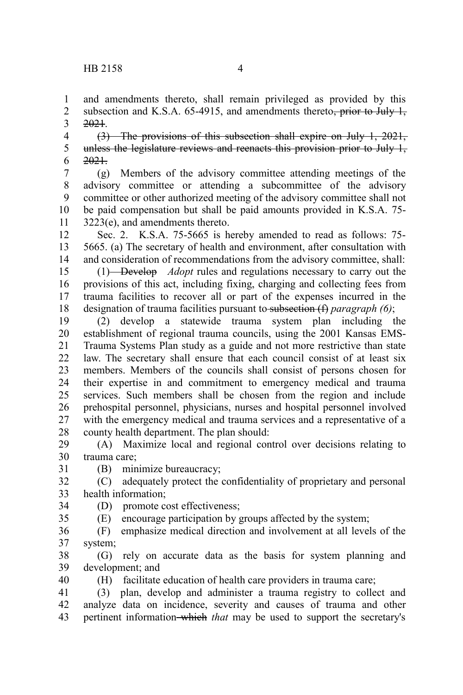and amendments thereto, shall remain privileged as provided by this subsection and K.S.A.  $65-4915$ , and amendments thereto<del>, prior to July 1,</del> 2021. 1 2 3

(3) The provisions of this subsection shall expire on July 1, 2021, unless the legislature reviews and reenacts this provision prior to July 1, 2021. 4 5 6

(g) Members of the advisory committee attending meetings of the advisory committee or attending a subcommittee of the advisory committee or other authorized meeting of the advisory committee shall not be paid compensation but shall be paid amounts provided in K.S.A. 75- 3223(e), and amendments thereto. 7 8 9 10 11

Sec. 2. K.S.A. 75-5665 is hereby amended to read as follows: 75- 5665. (a) The secretary of health and environment, after consultation with and consideration of recommendations from the advisory committee, shall: 12 13 14

(1) Develop *Adopt* rules and regulations necessary to carry out the provisions of this act, including fixing, charging and collecting fees from trauma facilities to recover all or part of the expenses incurred in the designation of trauma facilities pursuant to subsection (f) *paragraph (6)*; 15 16 17 18

(2) develop a statewide trauma system plan including the establishment of regional trauma councils, using the 2001 Kansas EMS-Trauma Systems Plan study as a guide and not more restrictive than state law. The secretary shall ensure that each council consist of at least six members. Members of the councils shall consist of persons chosen for their expertise in and commitment to emergency medical and trauma services. Such members shall be chosen from the region and include prehospital personnel, physicians, nurses and hospital personnel involved with the emergency medical and trauma services and a representative of a county health department. The plan should: 19 20 21 22 23 24 25 26 27 28

(A) Maximize local and regional control over decisions relating to trauma care; 29 30 31

(B) minimize bureaucracy;

(C) adequately protect the confidentiality of proprietary and personal health information; 32 33

(D) promote cost effectiveness; 34

35

40

(E) encourage participation by groups affected by the system;

(F) emphasize medical direction and involvement at all levels of the system; 36 37

(G) rely on accurate data as the basis for system planning and development; and 38 39

(H) facilitate education of health care providers in trauma care;

(3) plan, develop and administer a trauma registry to collect and analyze data on incidence, severity and causes of trauma and other pertinent information which *that* may be used to support the secretary's 41 42 43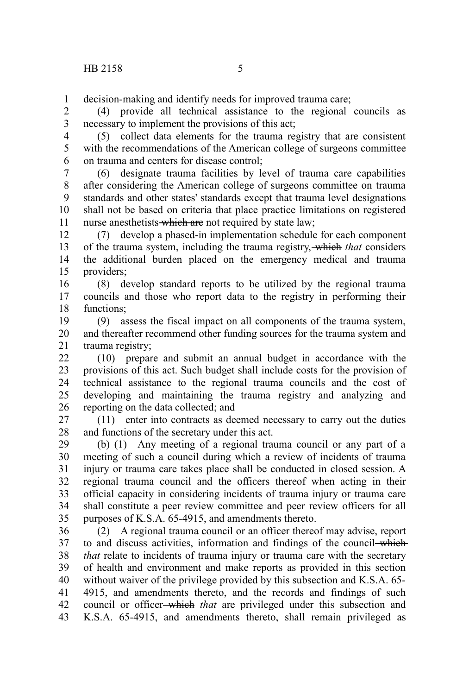decision-making and identify needs for improved trauma care; 1

(4) provide all technical assistance to the regional councils as necessary to implement the provisions of this act; 2 3

(5) collect data elements for the trauma registry that are consistent with the recommendations of the American college of surgeons committee on trauma and centers for disease control; 4 5 6

(6) designate trauma facilities by level of trauma care capabilities after considering the American college of surgeons committee on trauma standards and other states' standards except that trauma level designations shall not be based on criteria that place practice limitations on registered nurse anesthetists which are not required by state law; 7 8 9 10 11

(7) develop a phased-in implementation schedule for each component of the trauma system, including the trauma registry, which *that* considers the additional burden placed on the emergency medical and trauma providers; 12 13 14 15

(8) develop standard reports to be utilized by the regional trauma councils and those who report data to the registry in performing their functions; 16 17 18

(9) assess the fiscal impact on all components of the trauma system, and thereafter recommend other funding sources for the trauma system and trauma registry; 19 20 21

(10) prepare and submit an annual budget in accordance with the provisions of this act. Such budget shall include costs for the provision of technical assistance to the regional trauma councils and the cost of developing and maintaining the trauma registry and analyzing and reporting on the data collected; and 22 23 24 25 26

(11) enter into contracts as deemed necessary to carry out the duties and functions of the secretary under this act. 27 28

(b) (1) Any meeting of a regional trauma council or any part of a meeting of such a council during which a review of incidents of trauma injury or trauma care takes place shall be conducted in closed session. A regional trauma council and the officers thereof when acting in their official capacity in considering incidents of trauma injury or trauma care shall constitute a peer review committee and peer review officers for all purposes of K.S.A. 65-4915, and amendments thereto. 29 30 31 32 33 34 35

(2) A regional trauma council or an officer thereof may advise, report to and discuss activities, information and findings of the council-which *that* relate to incidents of trauma injury or trauma care with the secretary of health and environment and make reports as provided in this section without waiver of the privilege provided by this subsection and K.S.A. 65- 4915, and amendments thereto, and the records and findings of such council or officer which *that* are privileged under this subsection and K.S.A. 65-4915, and amendments thereto, shall remain privileged as 36 37 38 39 40 41 42 43